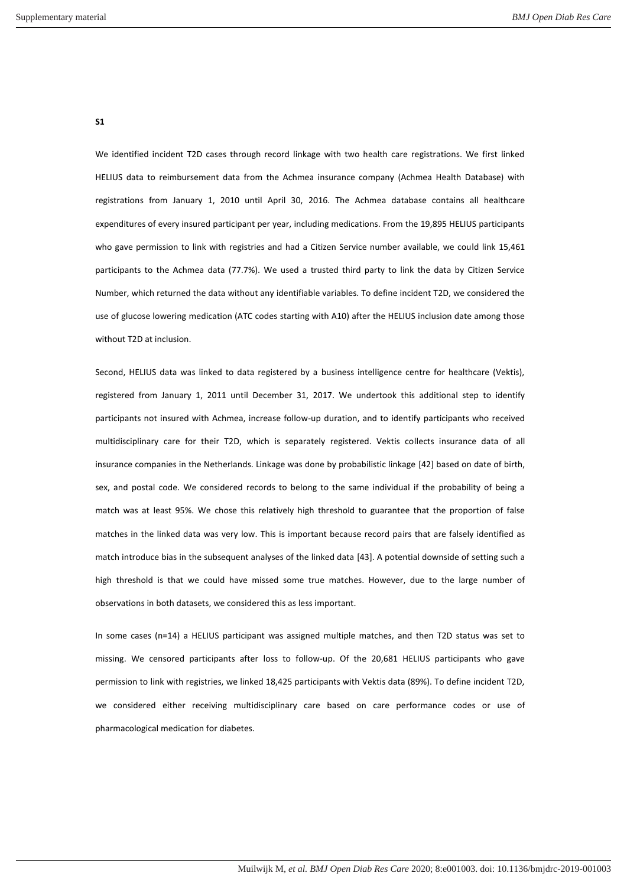**S1**

We identified incident T2D cases through record linkage with two health care registrations. We first linked HELIUS data to reimbursement data from the Achmea insurance company (Achmea Health Database) with registrations from January 1, 2010 until April 30, 2016. The Achmea database contains all healthcare expenditures of every insured participant per year, including medications. From the 19,895 HELIUS participants who gave permission to link with registries and had a Citizen Service number available, we could link 15,461 participants to the Achmea data (77.7%). We used a trusted third party to link the data by Citizen Service Number, which returned the data without any identifiable variables. To define incident T2D, we considered the use of glucose lowering medication (ATC codes starting with A10) after the HELIUS inclusion date among those without T2D at inclusion.

Second, HELIUS data was linked to data registered by a business intelligence centre for healthcare (Vektis), registered from January 1, 2011 until December 31, 2017. We undertook this additional step to identify participants not insured with Achmea, increase follow-up duration, and to identify participants who received multidisciplinary care for their T2D, which is separately registered. Vektis collects insurance data of all insurance companies in the Netherlands. Linkage was done by probabilistic linkage [42] based on date of birth, sex, and postal code. We considered records to belong to the same individual if the probability of being a match was at least 95%. We chose this relatively high threshold to guarantee that the proportion of false matches in the linked data was very low. This is important because record pairs that are falsely identified as match introduce bias in the subsequent analyses of the linked data [43]. A potential downside of setting such a high threshold is that we could have missed some true matches. However, due to the large number of observations in both datasets, we considered this as less important.

In some cases (n=14) a HELIUS participant was assigned multiple matches, and then T2D status was set to missing. We censored participants after loss to follow-up. Of the 20,681 HELIUS participants who gave permission to link with registries, we linked 18,425 participants with Vektis data (89%). To define incident T2D, we considered either receiving multidisciplinary care based on care performance codes or use of pharmacological medication for diabetes.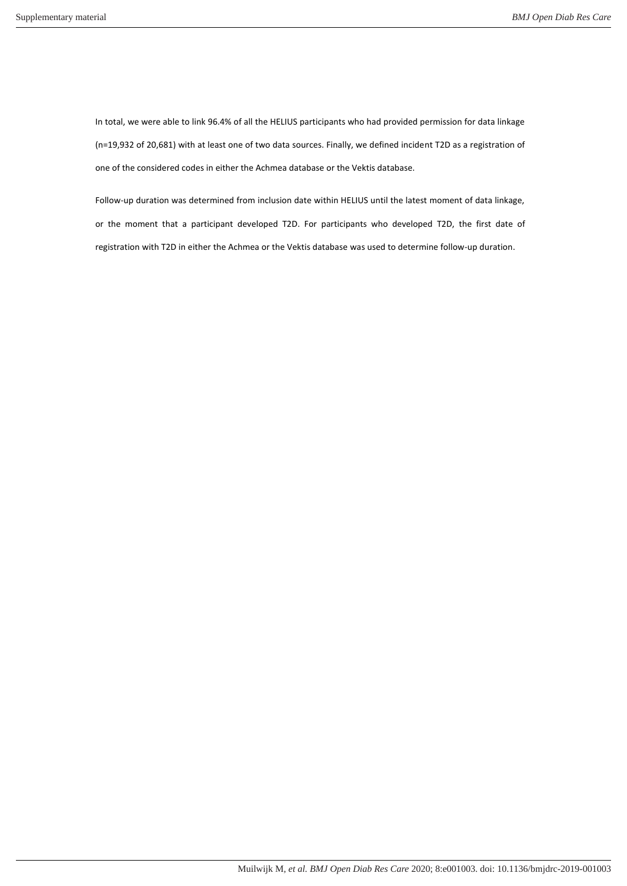In total, we were able to link 96.4% of all the HELIUS participants who had provided permission for data linkage (n=19,932 of 20,681) with at least one of two data sources. Finally, we defined incident T2D as a registration of one of the considered codes in either the Achmea database or the Vektis database.

Follow-up duration was determined from inclusion date within HELIUS until the latest moment of data linkage, or the moment that a participant developed T2D. For participants who developed T2D, the first date of registration with T2D in either the Achmea or the Vektis database was used to determine follow-up duration.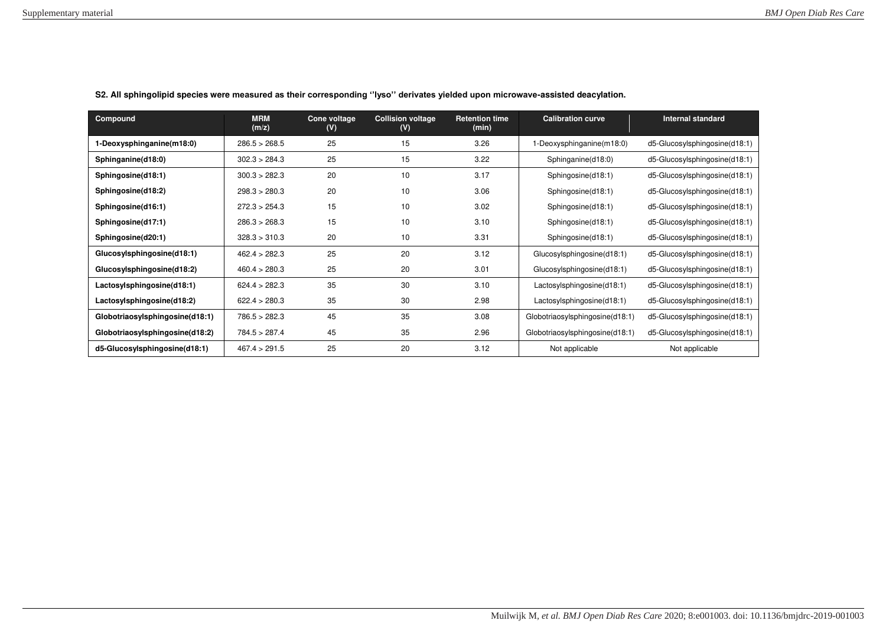| <b>Compound</b>                 | <b>MRM</b><br>(m/z) | Cone voltage<br>(V) | <b>Collision voltage</b><br>(V) | <b>Retention time</b><br>(min) | <b>Calibration curve</b>        | <b>Internal standard</b>      |
|---------------------------------|---------------------|---------------------|---------------------------------|--------------------------------|---------------------------------|-------------------------------|
| 1-Deoxysphinganine(m18:0)       | 286.5 > 268.5       | 25                  | 15                              | 3.26                           | 1-Deoxysphinganine(m18:0)       | d5-Glucosylsphingosine(d18:1) |
| Sphinganine(d18:0)              | 302.3 > 284.3       | 25                  | 15                              | 3.22                           | Sphinganine(d18:0)              | d5-Glucosylsphingosine(d18:1) |
| Sphingosine(d18:1)              | 300.3 > 282.3       | 20                  | 10                              | 3.17                           | Sphingosine(d18:1)              | d5-Glucosylsphingosine(d18:1) |
| Sphingosine(d18:2)              | 298.3 > 280.3       | 20                  | 10                              | 3.06                           | Sphingosine(d18:1)              | d5-Glucosylsphingosine(d18:1) |
| Sphingosine(d16:1)              | 272.3 > 254.3       | 15                  | 10                              | 3.02                           | Sphingosine(d18:1)              | d5-Glucosylsphingosine(d18:1) |
| Sphingosine(d17:1)              | 286.3 > 268.3       | 15                  | 10                              | 3.10                           | Sphingosine(d18:1)              | d5-Glucosylsphingosine(d18:1) |
| Sphingosine(d20:1)              | 328.3 > 310.3       | 20                  | 10                              | 3.31                           | Sphingosine(d18:1)              | d5-Glucosylsphingosine(d18:1) |
| Glucosylsphingosine(d18:1)      | 462.4 > 282.3       | 25                  | 20                              | 3.12                           | Glucosylsphingosine(d18:1)      | d5-Glucosylsphingosine(d18:1) |
| Glucosylsphingosine(d18:2)      | 460.4 > 280.3       | 25                  | 20                              | 3.01                           | Glucosylsphingosine(d18:1)      | d5-Glucosylsphingosine(d18:1) |
| Lactosylsphingosine(d18:1)      | 624.4 > 282.3       | 35                  | 30                              | 3.10                           | Lactosylsphingosine(d18:1)      | d5-Glucosylsphingosine(d18:1) |
| Lactosylsphingosine(d18:2)      | 622.4 > 280.3       | 35                  | 30                              | 2.98                           | Lactosylsphingosine(d18:1)      | d5-Glucosylsphingosine(d18:1) |
| Globotriaosylsphingosine(d18:1) | 786.5 > 282.3       | 45                  | 35                              | 3.08                           | Globotriaosylsphingosine(d18:1) | d5-Glucosylsphingosine(d18:1) |
| Globotriaosylsphingosine(d18:2) | 784.5 > 287.4       | 45                  | 35                              | 2.96                           | Globotriaosylsphingosine(d18:1) | d5-Glucosylsphingosine(d18:1) |
| d5-Glucosylsphingosine(d18:1)   | 467.4 > 291.5       | 25                  | 20                              | 3.12                           | Not applicable                  | Not applicable                |

**S2. All sphingolipid species were measured as their corresponding ''lyso'' derivates yielded upon microwave-assisted deacylation.**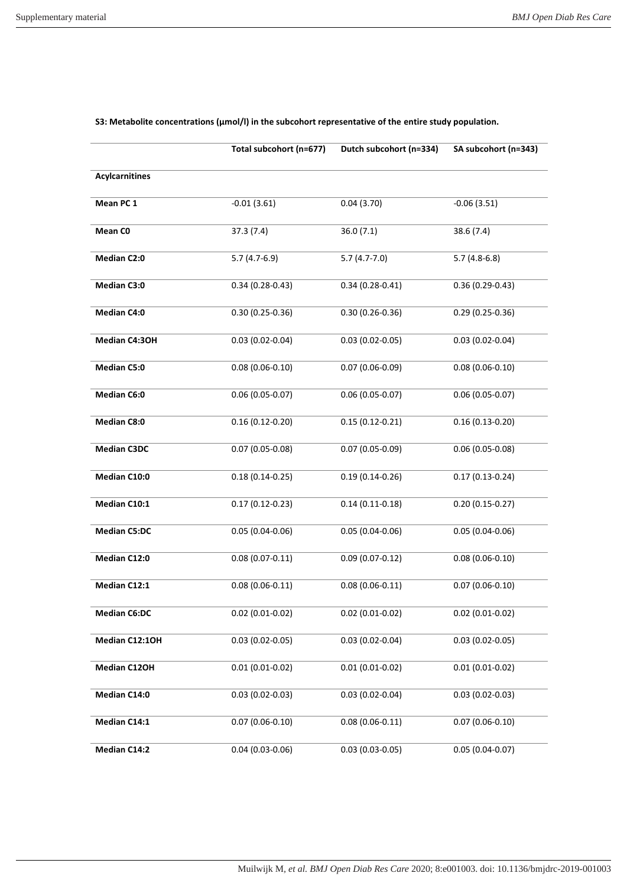|                       | Total subcohort (n=677) | Dutch subcohort (n=334) | SA subcohort (n=343) |
|-----------------------|-------------------------|-------------------------|----------------------|
| <b>Acylcarnitines</b> |                         |                         |                      |
| Mean PC 1             | $-0.01(3.61)$           | 0.04(3.70)              | $-0.06(3.51)$        |
| Mean CO               | 37.3(7.4)               | 36.0(7.1)               | 38.6 (7.4)           |
| <b>Median C2:0</b>    | $5.7(4.7-6.9)$          | $5.7(4.7-7.0)$          | $5.7(4.8-6.8)$       |
| <b>Median C3:0</b>    | $0.34(0.28-0.43)$       | $0.34(0.28-0.41)$       | $0.36(0.29 - 0.43)$  |
| <b>Median C4:0</b>    | $0.30(0.25-0.36)$       | $0.30(0.26 - 0.36)$     | $0.29(0.25-0.36)$    |
| Median C4:3OH         | $0.03(0.02 - 0.04)$     | $0.03(0.02 - 0.05)$     | $0.03(0.02 - 0.04)$  |
| Median C5:0           | $0.08(0.06 - 0.10)$     | $0.07(0.06 - 0.09)$     | $0.08(0.06 - 0.10)$  |
| <b>Median C6:0</b>    | $0.06(0.05-0.07)$       | $0.06(0.05-0.07)$       | $0.06(0.05 - 0.07)$  |
| <b>Median C8:0</b>    | $0.16(0.12-0.20)$       | $0.15(0.12-0.21)$       | $0.16(0.13 - 0.20)$  |
| <b>Median C3DC</b>    | $0.07(0.05 - 0.08)$     | $0.07(0.05 - 0.09)$     | $0.06(0.05-0.08)$    |
| Median C10:0          | $0.18(0.14 - 0.25)$     | $0.19(0.14 - 0.26)$     | $0.17(0.13 - 0.24)$  |
| Median C10:1          | $0.17(0.12 - 0.23)$     | $0.14(0.11-0.18)$       | $0.20(0.15-0.27)$    |
| <b>Median C5:DC</b>   | $0.05(0.04 - 0.06)$     | $0.05(0.04-0.06)$       | $0.05(0.04-0.06)$    |
| Median C12:0          | $0.08(0.07 - 0.11)$     | $0.09(0.07 - 0.12)$     | $0.08(0.06 - 0.10)$  |
| Median C12:1          | $0.08(0.06 - 0.11)$     | $0.08(0.06 - 0.11)$     | $0.07(0.06 - 0.10)$  |
| <b>Median C6:DC</b>   | $0.02(0.01-0.02)$       | $0.02$ (0.01-0.02)      | $0.02(0.01-0.02)$    |
| Median C12:1OH        | $0.03(0.02 - 0.05)$     | $0.03(0.02 - 0.04)$     | $0.03(0.02 - 0.05)$  |
| Median C12OH          | $0.01(0.01-0.02)$       | $0.01(0.01-0.02)$       | $0.01(0.01 - 0.02)$  |
| Median C14:0          | $0.03(0.02 - 0.03)$     | $0.03(0.02-0.04)$       | $0.03(0.02 - 0.03)$  |
| Median C14:1          | $0.07(0.06 - 0.10)$     | $0.08(0.06 - 0.11)$     | $0.07(0.06 - 0.10)$  |
| Median C14:2          | $0.04(0.03 - 0.06)$     | $0.03(0.03 - 0.05)$     | $0.05(0.04 - 0.07)$  |

## S3: Metabolite concentrations (µmol/l) in the subcohort representative of the entire study population.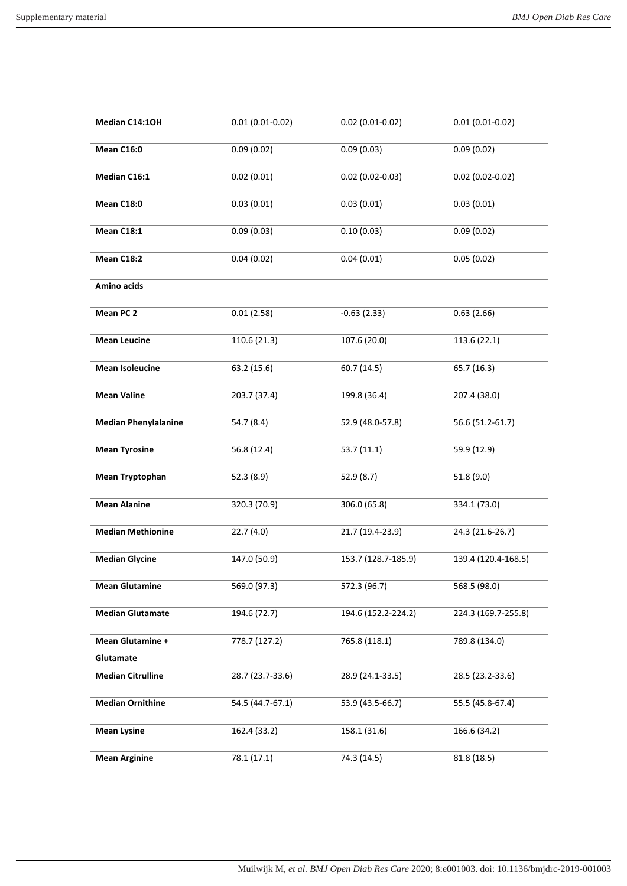| Median C14:1OH              | $0.01(0.01 - 0.02)$ | $0.02$ (0.01-0.02)  | $0.01(0.01 - 0.02)$ |
|-----------------------------|---------------------|---------------------|---------------------|
| <b>Mean C16:0</b>           | 0.09(0.02)          | 0.09(0.03)          | 0.09(0.02)          |
| Median C16:1                | 0.02(0.01)          | $0.02(0.02 - 0.03)$ | $0.02(0.02 - 0.02)$ |
| <b>Mean C18:0</b>           | 0.03(0.01)          | 0.03(0.01)          | 0.03(0.01)          |
| Mean C18:1                  | 0.09(0.03)          | 0.10(0.03)          | 0.09(0.02)          |
| <b>Mean C18:2</b>           | 0.04(0.02)          | 0.04(0.01)          | 0.05(0.02)          |
| Amino acids                 |                     |                     |                     |
| Mean PC <sub>2</sub>        | 0.01(2.58)          | $-0.63(2.33)$       | 0.63(2.66)          |
| <b>Mean Leucine</b>         | 110.6(21.3)         | 107.6 (20.0)        | 113.6 (22.1)        |
| <b>Mean Isoleucine</b>      | 63.2 (15.6)         | 60.7(14.5)          | 65.7 (16.3)         |
| <b>Mean Valine</b>          | 203.7 (37.4)        | 199.8 (36.4)        | 207.4 (38.0)        |
| <b>Median Phenylalanine</b> | 54.7 (8.4)          | 52.9 (48.0-57.8)    | 56.6 (51.2-61.7)    |
| <b>Mean Tyrosine</b>        | 56.8 (12.4)         | 53.7(11.1)          | 59.9 (12.9)         |
| <b>Mean Tryptophan</b>      | 52.3(8.9)           | 52.9 (8.7)          | 51.8(9.0)           |
| <b>Mean Alanine</b>         | 320.3 (70.9)        | 306.0 (65.8)        | 334.1 (73.0)        |
| <b>Median Methionine</b>    | 22.7(4.0)           | 21.7 (19.4-23.9)    | 24.3 (21.6-26.7)    |
| <b>Median Glycine</b>       | 147.0 (50.9)        | 153.7 (128.7-185.9) | 139.4 (120.4-168.5) |
| <b>Mean Glutamine</b>       | 569.0 (97.3)        | 572.3 (96.7)        | 568.5 (98.0)        |
| <b>Median Glutamate</b>     | 194.6 (72.7)        | 194.6 (152.2-224.2) | 224.3 (169.7-255.8) |
| Mean Glutamine +            | 778.7 (127.2)       | 765.8 (118.1)       | 789.8 (134.0)       |
| Glutamate                   |                     |                     |                     |
| <b>Median Citrulline</b>    | 28.7 (23.7-33.6)    | 28.9 (24.1-33.5)    | 28.5 (23.2-33.6)    |
| <b>Median Ornithine</b>     | 54.5 (44.7-67.1)    | 53.9 (43.5-66.7)    | 55.5 (45.8-67.4)    |
| <b>Mean Lysine</b>          | 162.4 (33.2)        | 158.1 (31.6)        | 166.6 (34.2)        |
| <b>Mean Arginine</b>        | 78.1 (17.1)         | 74.3 (14.5)         | 81.8 (18.5)         |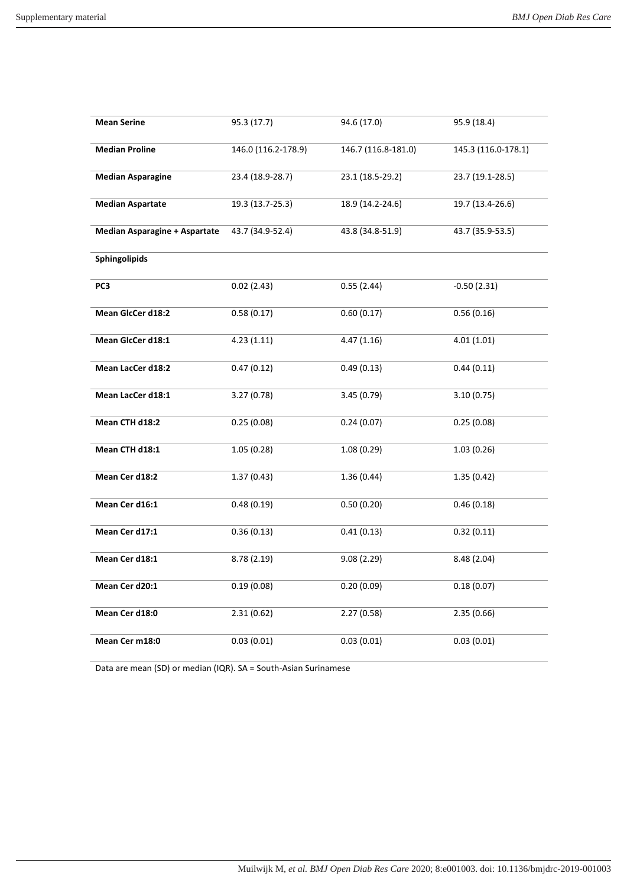| <b>Mean Serine</b>                   | 95.3 (17.7)         | 94.6 (17.0)         | 95.9 (18.4)         |
|--------------------------------------|---------------------|---------------------|---------------------|
| <b>Median Proline</b>                | 146.0 (116.2-178.9) | 146.7 (116.8-181.0) | 145.3 (116.0-178.1) |
| <b>Median Asparagine</b>             | 23.4 (18.9-28.7)    | 23.1 (18.5-29.2)    | 23.7 (19.1-28.5)    |
| <b>Median Aspartate</b>              | 19.3 (13.7-25.3)    | 18.9 (14.2-24.6)    | 19.7 (13.4-26.6)    |
| <b>Median Asparagine + Aspartate</b> | 43.7 (34.9-52.4)    | 43.8 (34.8-51.9)    | 43.7 (35.9-53.5)    |
| <b>Sphingolipids</b>                 |                     |                     |                     |
| PC3                                  | 0.02(2.43)          | 0.55(2.44)          | $-0.50(2.31)$       |
| Mean GlcCer d18:2                    | 0.58(0.17)          | 0.60(0.17)          | 0.56(0.16)          |
| Mean GlcCer d18:1                    | 4.23(1.11)          | 4.47(1.16)          | 4.01(1.01)          |
| Mean LacCer d18:2                    | 0.47(0.12)          | 0.49(0.13)          | 0.44(0.11)          |
| Mean LacCer d18:1                    | 3.27(0.78)          | 3.45 (0.79)         | 3.10(0.75)          |
| Mean CTH d18:2                       | 0.25(0.08)          | 0.24(0.07)          | 0.25(0.08)          |
| Mean CTH d18:1                       | 1.05(0.28)          | 1.08(0.29)          | 1.03(0.26)          |
| Mean Cer d18:2                       | 1.37(0.43)          | 1.36(0.44)          | 1.35(0.42)          |
| Mean Cer d16:1                       | 0.48(0.19)          | 0.50(0.20)          | 0.46(0.18)          |
| Mean Cer d17:1                       | 0.36(0.13)          | 0.41(0.13)          | 0.32(0.11)          |
| Mean Cer d18:1                       | 8.78(2.19)          | 9.08(2.29)          | 8.48(2.04)          |
| Mean Cer d20:1                       | 0.19(0.08)          | 0.20(0.09)          | 0.18(0.07)          |
| Mean Cer d18:0                       | 2.31(0.62)          | 2.27(0.58)          | 2.35(0.66)          |
| Mean Cer m18:0                       | 0.03(0.01)          | 0.03(0.01)          | 0.03(0.01)          |

Data are mean (SD) or median (IQR). SA = South-Asian Surinamese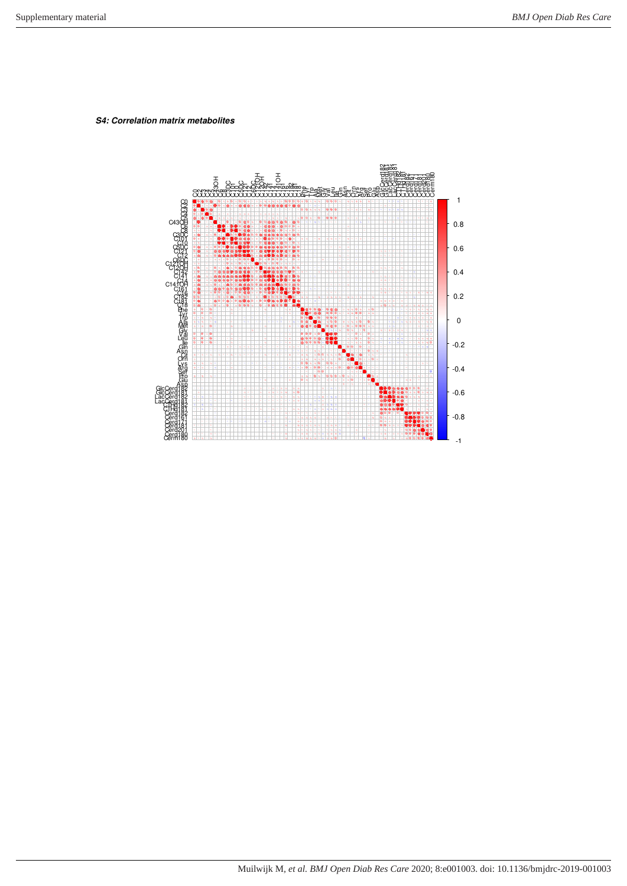*S4: Correlation matrix metabolites* 

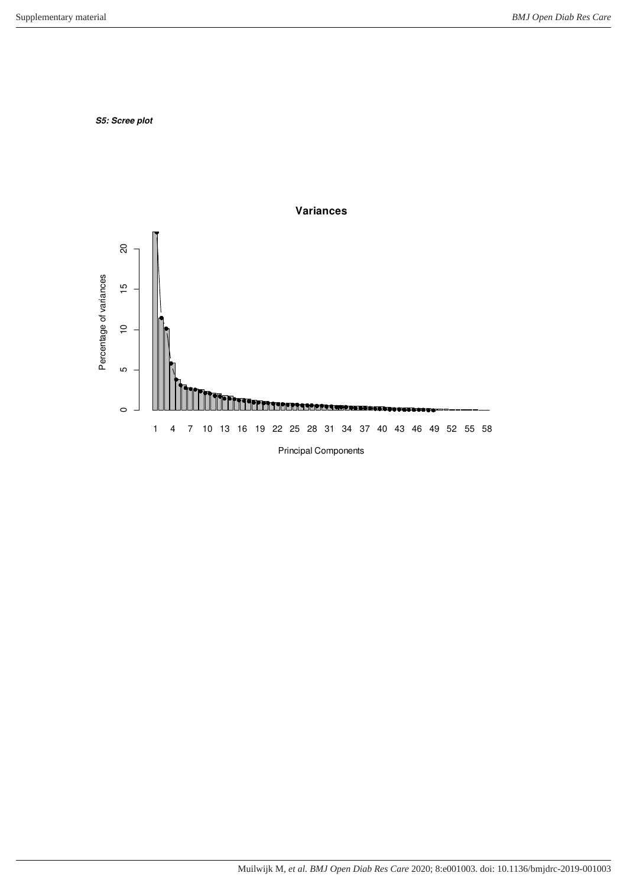*S5: Scree plot*

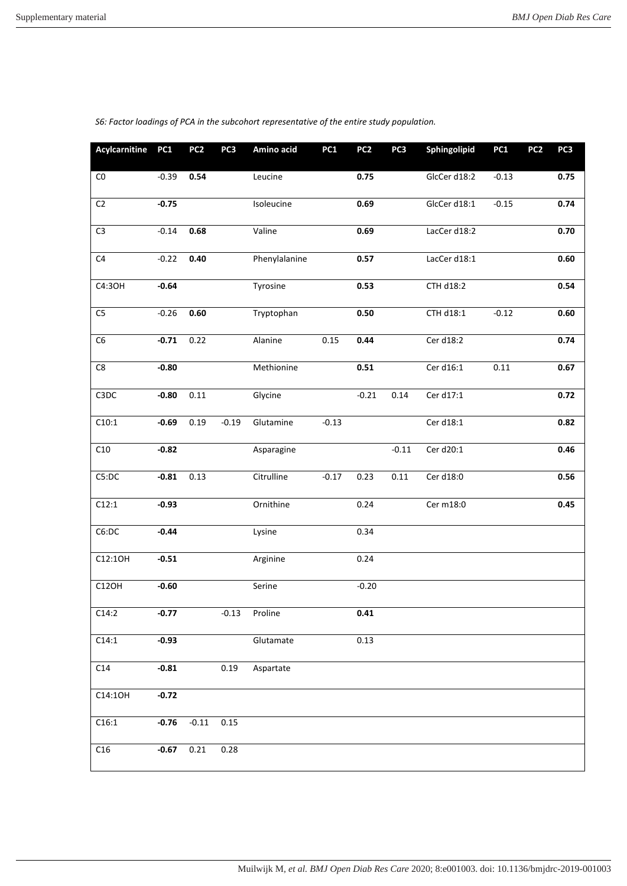| Acylcarnitine | PC <sub>1</sub> | PC <sub>2</sub> | PC <sub>3</sub> | Amino acid    | PC <sub>1</sub> | PC <sub>2</sub> | PC3     | Sphingolipid | PC <sub>1</sub> | PC <sub>2</sub> | PC3      |
|---------------|-----------------|-----------------|-----------------|---------------|-----------------|-----------------|---------|--------------|-----------------|-----------------|----------|
| CO            | $-0.39$         | 0.54            |                 | Leucine       |                 | 0.75            |         | GlcCer d18:2 | $-0.13$         |                 | 0.75     |
| C2            | $-0.75$         |                 |                 | Isoleucine    |                 | 0.69            |         | GlcCer d18:1 | $-0.15$         |                 | 0.74     |
| $\mathsf{C}3$ | $-0.14$         | 0.68            |                 | Valine        |                 | 0.69            |         | LacCer d18:2 |                 |                 | 0.70     |
| C4            | $-0.22$         | 0.40            |                 | Phenylalanine |                 | 0.57            |         | LacCer d18:1 |                 |                 | $0.60\,$ |
| C4:30H        | $-0.64$         |                 |                 | Tyrosine      |                 | 0.53            |         | CTH d18:2    |                 |                 | 0.54     |
| $C5$          | $-0.26$         | $0.60\,$        |                 | Tryptophan    |                 | 0.50            |         | CTH d18:1    | $-0.12$         |                 | 0.60     |
| C6            | $-0.71$         | 0.22            |                 | Alanine       | 0.15            | 0.44            |         | Cer d18:2    |                 |                 | 0.74     |
| ${\sf C}8$    | $-0.80$         |                 |                 | Methionine    |                 | 0.51            |         | Cer d16:1    | 0.11            |                 | 0.67     |
| C3DC          | $-0.80$         | 0.11            |                 | Glycine       |                 | $-0.21$         | 0.14    | Cer d17:1    |                 |                 | 0.72     |
| C10:1         | $-0.69$         | 0.19            | $-0.19$         | Glutamine     | $-0.13$         |                 |         | Cer d18:1    |                 |                 | 0.82     |
| C10           | $-0.82$         |                 |                 | Asparagine    |                 |                 | $-0.11$ | Cer d20:1    |                 |                 | 0.46     |
| C5:DC         | $-0.81$         | 0.13            |                 | Citrulline    | $-0.17$         | 0.23            | 0.11    | Cer d18:0    |                 |                 | $0.56\,$ |
| C12:1         | $-0.93$         |                 |                 | Ornithine     |                 | 0.24            |         | Cer m18:0    |                 |                 | 0.45     |
| C6:DC         | $-0.44$         |                 |                 | Lysine        |                 | 0.34            |         |              |                 |                 |          |
| C12:10H       | $-0.51$         |                 |                 | Arginine      |                 | 0.24            |         |              |                 |                 |          |
| C12OH         | $-0.60$         |                 |                 | Serine        |                 | $-0.20$         |         |              |                 |                 |          |
| C14:2         | $-0.77$         |                 | $-0.13$         | Proline       |                 | 0.41            |         |              |                 |                 |          |
| C14:1         | $-0.93$         |                 |                 | Glutamate     |                 | 0.13            |         |              |                 |                 |          |
| C14           | $-0.81$         |                 | 0.19            | Aspartate     |                 |                 |         |              |                 |                 |          |
| C14:10H       | $-0.72$         |                 |                 |               |                 |                 |         |              |                 |                 |          |
| C16:1         | $-0.76$         | $-0.11$         | 0.15            |               |                 |                 |         |              |                 |                 |          |
| C16           | $-0.67$         | 0.21            | 0.28            |               |                 |                 |         |              |                 |                 |          |

# *S6: Factor loadings of PCA in the subcohort representative of the entire study population.*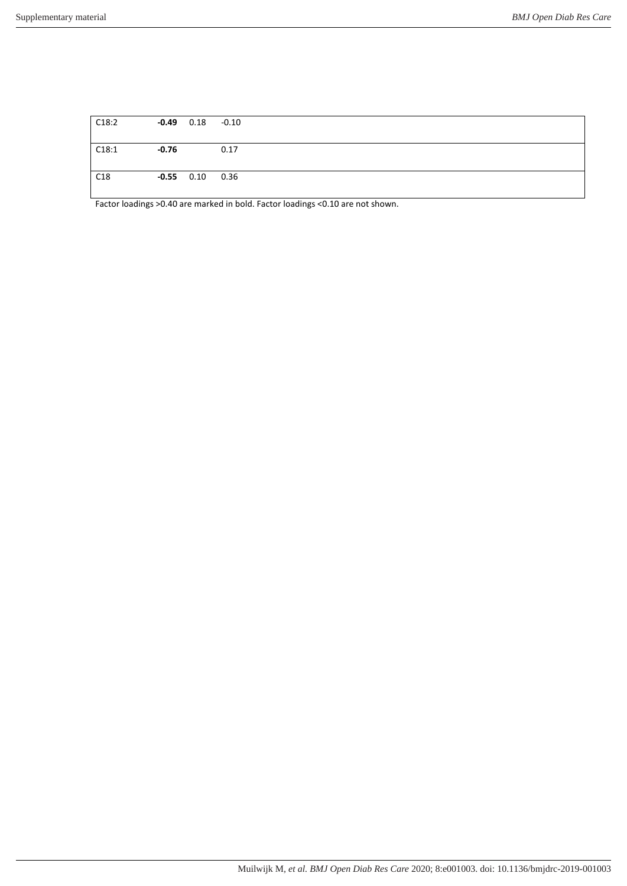| C18:2           |         |                   | $-0.49$ $0.18$ $-0.10$ |  |  |
|-----------------|---------|-------------------|------------------------|--|--|
| C18:1           | $-0.76$ |                   | 0.17                   |  |  |
| C <sub>18</sub> |         | $-0.55$ 0.10 0.36 |                        |  |  |

Factor loadings >0.40 are marked in bold. Factor loadings <0.10 are not shown.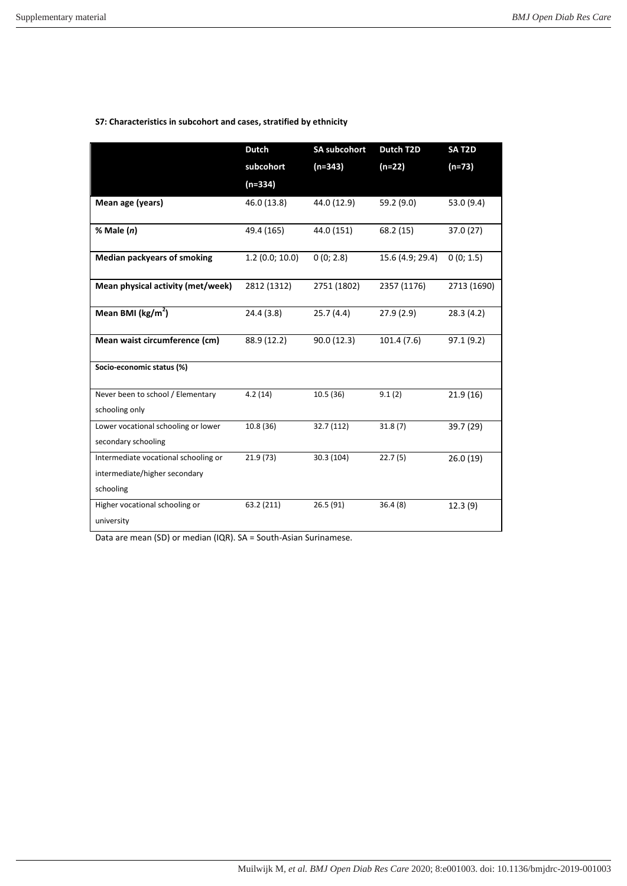|                                                                                    | <b>Dutch</b>   | <b>SA subcohort</b> | Dutch T2D        | SAT2D       |
|------------------------------------------------------------------------------------|----------------|---------------------|------------------|-------------|
|                                                                                    | subcohort      | $(n=343)$           | $(n=22)$         | $(n=73)$    |
|                                                                                    | $(n=334)$      |                     |                  |             |
| Mean age (years)                                                                   | 46.0 (13.8)    | 44.0 (12.9)         | 59.2 (9.0)       | 53.0(9.4)   |
| % Male (n)                                                                         | 49.4 (165)     | 44.0 (151)          | 68.2 (15)        | 37.0(27)    |
| <b>Median packyears of smoking</b>                                                 | 1.2(0.0; 10.0) | 0(0; 2.8)           | 15.6 (4.9; 29.4) | 0(0; 1.5)   |
| Mean physical activity (met/week)                                                  | 2812 (1312)    | 2751 (1802)         | 2357 (1176)      | 2713 (1690) |
| Mean BMI ( $\text{kg/m}^2$ )                                                       | 24.4(3.8)      | 25.7(4.4)           | 27.9(2.9)        | 28.3(4.2)   |
| Mean waist circumference (cm)                                                      | 88.9 (12.2)    | 90.0(12.3)          | 101.4(7.6)       | 97.1(9.2)   |
| Socio-economic status (%)                                                          |                |                     |                  |             |
| Never been to school / Elementary<br>schooling only                                | 4.2(14)        | 10.5(36)            | 9.1(2)           | 21.9(16)    |
| Lower vocational schooling or lower<br>secondary schooling                         | 10.8(36)       | 32.7 (112)          | 31.8(7)          | 39.7 (29)   |
| Intermediate vocational schooling or<br>intermediate/higher secondary<br>schooling | 21.9(73)       | 30.3 (104)          | 22.7(5)          | 26.0(19)    |
| Higher vocational schooling or<br>university                                       | 63.2 (211)     | 26.5(91)            | 36.4(8)          | 12.3(9)     |

#### **S7: Characteristics in subcohort and cases, stratified by ethnicity**

Data are mean (SD) or median (IQR). SA = South-Asian Surinamese.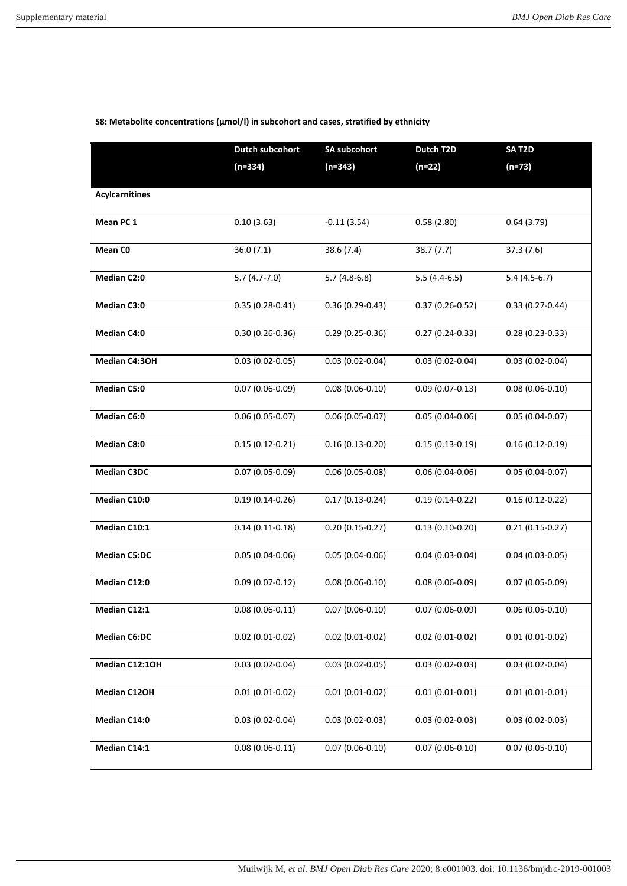|                       | <b>Dutch subcohort</b> | <b>SA subcohort</b> | Dutch T2D           | SA T <sub>2D</sub>  |
|-----------------------|------------------------|---------------------|---------------------|---------------------|
|                       | $(n=334)$              | $(n=343)$           | $(n=22)$            | $(n=73)$            |
| <b>Acylcarnitines</b> |                        |                     |                     |                     |
|                       |                        |                     |                     |                     |
| Mean PC 1             | 0.10(3.63)             | $-0.11(3.54)$       | 0.58(2.80)          | 0.64(3.79)          |
| Mean CO               | 36.0(7.1)              | 38.6(7.4)           | 38.7(7.7)           | 37.3 (7.6)          |
| Median C2:0           | $5.7(4.7-7.0)$         | $5.7(4.8-6.8)$      | $5.5(4.4-6.5)$      | $5.4(4.5-6.7)$      |
| <b>Median C3:0</b>    | $0.35(0.28-0.41)$      | $0.36(0.29-0.43)$   | $0.37(0.26-0.52)$   | $0.33(0.27 - 0.44)$ |
| <b>Median C4:0</b>    | $0.30(0.26 - 0.36)$    | $0.29(0.25-0.36)$   | $0.27(0.24-0.33)$   | $0.28(0.23-0.33)$   |
| Median C4:3OH         | $0.03(0.02 - 0.05)$    | $0.03(0.02 - 0.04)$ | $0.03(0.02 - 0.04)$ | $0.03(0.02 - 0.04)$ |
| <b>Median C5:0</b>    | $0.07(0.06 - 0.09)$    | $0.08(0.06 - 0.10)$ | $0.09(0.07 - 0.13)$ | $0.08(0.06 - 0.10)$ |
| <b>Median C6:0</b>    | $0.06(0.05 - 0.07)$    | $0.06(0.05 - 0.07)$ | $0.05(0.04-0.06)$   | $0.05(0.04 - 0.07)$ |
| <b>Median C8:0</b>    | $0.15(0.12-0.21)$      | $0.16(0.13-0.20)$   | $0.15(0.13 - 0.19)$ | $0.16(0.12 - 0.19)$ |
| <b>Median C3DC</b>    | $0.07(0.05 - 0.09)$    | $0.06(0.05-0.08)$   | $0.06(0.04-0.06)$   | $0.05(0.04 - 0.07)$ |
| Median C10:0          | $0.19(0.14 - 0.26)$    | $0.17(0.13 - 0.24)$ | $0.19(0.14-0.22)$   | $0.16(0.12-0.22)$   |
| Median C10:1          | $0.14(0.11-0.18)$      | $0.20(0.15-0.27)$   | $0.13(0.10-0.20)$   | $0.21(0.15-0.27)$   |
| <b>Median C5:DC</b>   | $0.05(0.04 - 0.06)$    | $0.05(0.04-0.06)$   | $0.04(0.03 - 0.04)$ | $0.04(0.03 - 0.05)$ |
| Median C12:0          | $0.09(0.07 - 0.12)$    | $0.08(0.06 - 0.10)$ | $0.08(0.06 - 0.09)$ | $0.07(0.05 - 0.09)$ |
| Median C12:1          | $0.08(0.06 - 0.11)$    | $0.07(0.06 - 0.10)$ | $0.07(0.06 - 0.09)$ | $0.06(0.05-0.10)$   |
| <b>Median C6:DC</b>   | $0.02(0.01-0.02)$      | $0.02(0.01 - 0.02)$ | $0.02(0.01-0.02)$   | $0.01(0.01-0.02)$   |
| Median C12:1OH        | $0.03(0.02 - 0.04)$    | $0.03(0.02 - 0.05)$ | $0.03(0.02-0.03)$   | $0.03(0.02 - 0.04)$ |
| Median C12OH          | $0.01(0.01-0.02)$      | $0.01(0.01-0.02)$   | $0.01(0.01-0.01)$   | $0.01(0.01-0.01)$   |
| Median C14:0          | $0.03(0.02 - 0.04)$    | $0.03(0.02 - 0.03)$ | $0.03(0.02-0.03)$   | $0.03(0.02 - 0.03)$ |
| Median C14:1          | $0.08(0.06 - 0.11)$    | $0.07(0.06 - 0.10)$ | $0.07(0.06 - 0.10)$ | $0.07(0.05 - 0.10)$ |

# **S8: Metabolite concentrations (µmol/l) in subcohort and cases, stratified by ethnicity**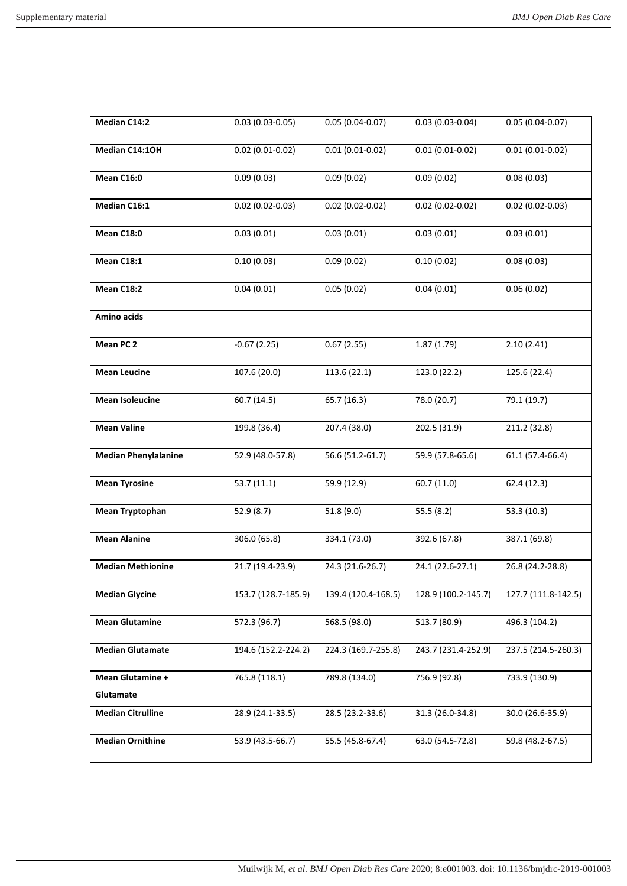| Median C14:2                  | $0.03(0.03 - 0.05)$ | $0.05(0.04-0.07)$   | $0.03(0.03-0.04)$   | $0.05(0.04 - 0.07)$ |
|-------------------------------|---------------------|---------------------|---------------------|---------------------|
| Median C14:1OH                | $0.02(0.01 - 0.02)$ | $0.01(0.01 - 0.02)$ | $0.01(0.01 - 0.02)$ | $0.01(0.01 - 0.02)$ |
| <b>Mean C16:0</b>             | 0.09(0.03)          | 0.09(0.02)          | 0.09(0.02)          | 0.08(0.03)          |
| Median C16:1                  | $0.02(0.02 - 0.03)$ | $0.02(0.02 - 0.02)$ | $0.02(0.02 - 0.02)$ | $0.02(0.02 - 0.03)$ |
| <b>Mean C18:0</b>             | 0.03(0.01)          | 0.03(0.01)          | 0.03(0.01)          | 0.03(0.01)          |
| <b>Mean C18:1</b>             | 0.10(0.03)          | 0.09(0.02)          | 0.10(0.02)          | 0.08(0.03)          |
| <b>Mean C18:2</b>             | 0.04(0.01)          | 0.05(0.02)          | 0.04(0.01)          | 0.06(0.02)          |
| Amino acids                   |                     |                     |                     |                     |
| Mean PC <sub>2</sub>          | $-0.67(2.25)$       | 0.67(2.55)          | 1.87(1.79)          | 2.10(2.41)          |
| <b>Mean Leucine</b>           | 107.6 (20.0)        | 113.6 (22.1)        | 123.0 (22.2)        | 125.6 (22.4)        |
| <b>Mean Isoleucine</b>        | 60.7(14.5)          | 65.7 (16.3)         | 78.0 (20.7)         | 79.1 (19.7)         |
| <b>Mean Valine</b>            | 199.8 (36.4)        | 207.4 (38.0)        | 202.5 (31.9)        | 211.2 (32.8)        |
| <b>Median Phenylalanine</b>   | 52.9 (48.0-57.8)    | 56.6 (51.2-61.7)    | 59.9 (57.8-65.6)    | 61.1 (57.4-66.4)    |
| <b>Mean Tyrosine</b>          | 53.7(11.1)          | 59.9 (12.9)         | 60.7 (11.0)         | 62.4 (12.3)         |
| <b>Mean Tryptophan</b>        | 52.9 (8.7)          | 51.8(9.0)           | 55.5(8.2)           | 53.3 (10.3)         |
| <b>Mean Alanine</b>           | 306.0 (65.8)        | 334.1 (73.0)        | 392.6 (67.8)        | 387.1 (69.8)        |
| <b>Median Methionine</b>      | 21.7 (19.4-23.9)    | 24.3 (21.6-26.7)    | 24.1 (22.6-27.1)    | 26.8 (24.2-28.8)    |
| <b>Median Glycine</b>         | 153.7 (128.7-185.9) | 139.4 (120.4-168.5) | 128.9 (100.2-145.7) | 127.7 (111.8-142.5) |
| <b>Mean Glutamine</b>         | 572.3 (96.7)        | 568.5 (98.0)        | 513.7(80.9)         | 496.3 (104.2)       |
| <b>Median Glutamate</b>       | 194.6 (152.2-224.2) | 224.3 (169.7-255.8) | 243.7 (231.4-252.9) | 237.5 (214.5-260.3) |
| Mean Glutamine +<br>Glutamate | 765.8 (118.1)       | 789.8 (134.0)       | 756.9 (92.8)        | 733.9 (130.9)       |
| <b>Median Citrulline</b>      | 28.9 (24.1-33.5)    | 28.5 (23.2-33.6)    | 31.3 (26.0-34.8)    | 30.0 (26.6-35.9)    |
| <b>Median Ornithine</b>       | 53.9 (43.5-66.7)    | 55.5 (45.8-67.4)    | 63.0 (54.5-72.8)    | 59.8 (48.2-67.5)    |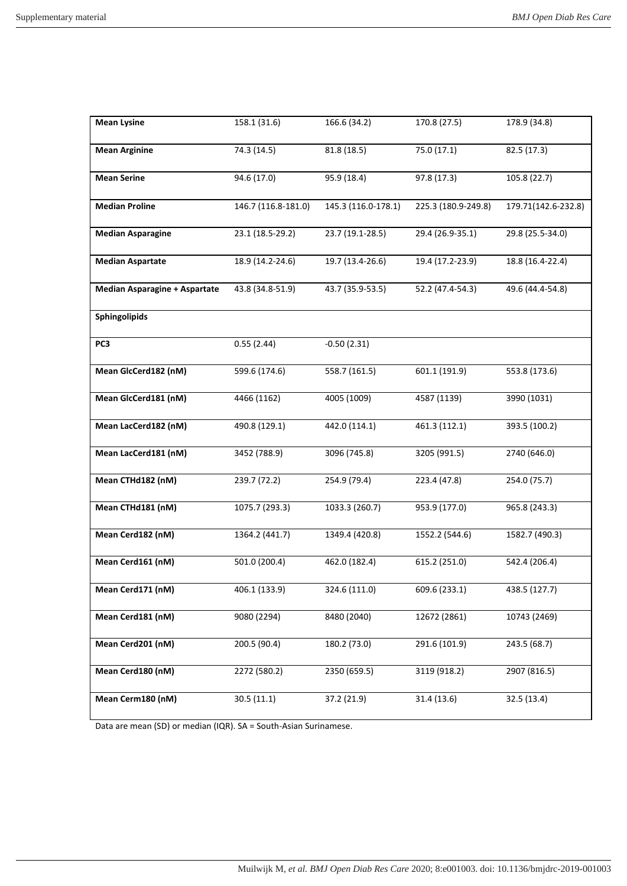| <b>Mean Lysine</b>                   | 158.1 (31.6)        | 166.6 (34.2)        | 170.8 (27.5)        | 178.9 (34.8)        |
|--------------------------------------|---------------------|---------------------|---------------------|---------------------|
| <b>Mean Arginine</b>                 | 74.3 (14.5)         | 81.8 (18.5)         | 75.0 (17.1)         | 82.5 (17.3)         |
| <b>Mean Serine</b>                   | 94.6 (17.0)         | 95.9 (18.4)         | 97.8 (17.3)         | 105.8 (22.7)        |
| <b>Median Proline</b>                | 146.7 (116.8-181.0) | 145.3 (116.0-178.1) | 225.3 (180.9-249.8) | 179.71(142.6-232.8) |
| <b>Median Asparagine</b>             | 23.1 (18.5-29.2)    | 23.7 (19.1-28.5)    | 29.4 (26.9-35.1)    | 29.8 (25.5-34.0)    |
| <b>Median Aspartate</b>              | 18.9 (14.2-24.6)    | 19.7 (13.4-26.6)    | 19.4 (17.2-23.9)    | 18.8 (16.4-22.4)    |
| <b>Median Asparagine + Aspartate</b> | 43.8 (34.8-51.9)    | 43.7 (35.9-53.5)    | 52.2 (47.4-54.3)    | 49.6 (44.4-54.8)    |
| Sphingolipids                        |                     |                     |                     |                     |
| PC3                                  | 0.55(2.44)          | $-0.50(2.31)$       |                     |                     |
| Mean GlcCerd182 (nM)                 | 599.6 (174.6)       | 558.7 (161.5)       | 601.1 (191.9)       | 553.8 (173.6)       |
| Mean GlcCerd181 (nM)                 | 4466 (1162)         | 4005 (1009)         | 4587 (1139)         | 3990 (1031)         |
| Mean LacCerd182 (nM)                 | 490.8 (129.1)       | 442.0 (114.1)       | 461.3 (112.1)       | $393.5\ (100.2)$    |
| Mean LacCerd181 (nM)                 | 3452 (788.9)        | 3096 (745.8)        | 3205 (991.5)        | 2740 (646.0)        |
| Mean CTHd182 (nM)                    | 239.7 (72.2)        | 254.9 (79.4)        | 223.4 (47.8)        | 254.0 (75.7)        |
| Mean CTHd181 (nM)                    | 1075.7 (293.3)      | 1033.3 (260.7)      | 953.9 (177.0)       | 965.8 (243.3)       |
| Mean Cerd182 (nM)                    | 1364.2 (441.7)      | 1349.4 (420.8)      | 1552.2 (544.6)      | 1582.7 (490.3)      |
| Mean Cerd161 (nM)                    | 501.0 (200.4)       | 462.0 (182.4)       | 615.2 (251.0)       | 542.4 (206.4)       |
| Mean Cerd171 (nM)                    | 406.1 (133.9)       | 324.6 (111.0)       | 609.6 (233.1)       | 438.5 (127.7)       |
| Mean Cerd181 (nM)                    | 9080 (2294)         | 8480 (2040)         | 12672 (2861)        | 10743 (2469)        |
| Mean Cerd201 (nM)                    | 200.5 (90.4)        | 180.2 (73.0)        | 291.6 (101.9)       | 243.5 (68.7)        |
| Mean Cerd180 (nM)                    | 2272 (580.2)        | 2350 (659.5)        | 3119 (918.2)        | 2907 (816.5)        |
| Mean Cerm180 (nM)                    | 30.5(11.1)          | 37.2 (21.9)         | 31.4 (13.6)         | 32.5 (13.4)         |

Data are mean (SD) or median (IQR). SA = South-Asian Surinamese.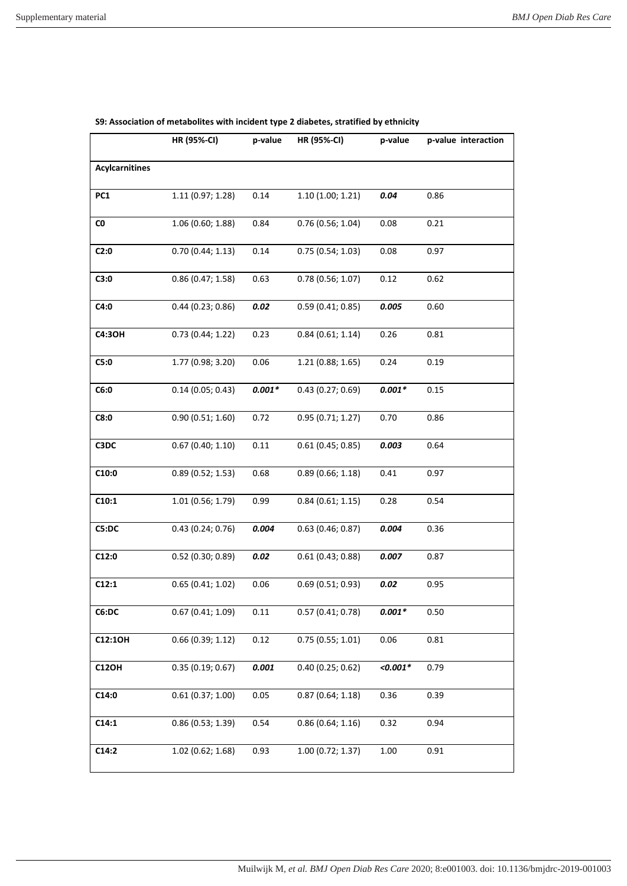|                       | HR (95%-CI)       | p-value  | <b>HR (95%-CI)</b> | p-value    | p-value interaction |
|-----------------------|-------------------|----------|--------------------|------------|---------------------|
| <b>Acylcarnitines</b> |                   |          |                    |            |                     |
| PC <sub>1</sub>       | 1.11(0.97; 1.28)  | 0.14     | 1.10(1.00; 1.21)   | 0.04       | 0.86                |
| CO                    | 1.06 (0.60; 1.88) | 0.84     | 0.76(0.56; 1.04)   | 0.08       | 0.21                |
| C2:0                  | 0.70(0.44; 1.13)  | 0.14     | 0.75(0.54; 1.03)   | 0.08       | 0.97                |
| C3:0                  | 0.86(0.47; 1.58)  | 0.63     | 0.78(0.56; 1.07)   | 0.12       | 0.62                |
| C4:0                  | 0.44(0.23; 0.86)  | 0.02     | 0.59 (0.41; 0.85)  | 0.005      | 0.60                |
| <b>C4:3OH</b>         | 0.73(0.44; 1.22)  | 0.23     | 0.84(0.61; 1.14)   | 0.26       | 0.81                |
| C5:0                  | 1.77 (0.98; 3.20) | 0.06     | 1.21 (0.88; 1.65)  | 0.24       | 0.19                |
| C6:0                  | 0.14(0.05; 0.43)  | $0.001*$ | 0.43(0.27; 0.69)   | $0.001*$   | 0.15                |
| C8:0                  | 0.90(0.51; 1.60)  | 0.72     | 0.95(0.71; 1.27)   | 0.70       | 0.86                |
| C3DC                  | 0.67(0.40; 1.10)  | 0.11     | 0.61(0.45; 0.85)   | 0.003      | 0.64                |
| C10:0                 | 0.89(0.52; 1.53)  | 0.68     | 0.89(0.66; 1.18)   | 0.41       | 0.97                |
| C10:1                 | 1.01 (0.56; 1.79) | 0.99     | 0.84(0.61; 1.15)   | 0.28       | 0.54                |
| C5:DC                 | 0.43(0.24; 0.76)  | 0.004    | 0.63(0.46; 0.87)   | 0.004      | 0.36                |
| C12:0                 | 0.52(0.30; 0.89)  | 0.02     | 0.61(0.43; 0.88)   | 0.007      | 0.87                |
| C12:1                 | 0.65(0.41; 1.02)  | 0.06     | 0.69(0.51; 0.93)   | 0.02       | 0.95                |
| C6:DC                 | 0.67(0.41; 1.09)  | 0.11     | 0.57(0.41; 0.78)   | $0.001*$   | 0.50                |
| <b>C12:10H</b>        | 0.66(0.39; 1.12)  | 0.12     | 0.75(0.55; 1.01)   | 0.06       | 0.81                |
| <b>C12OH</b>          | 0.35(0.19; 0.67)  | 0.001    | 0.40(0.25; 0.62)   | $<,0.001*$ | 0.79                |
| C14:0                 | 0.61(0.37; 1.00)  | 0.05     | 0.87(0.64; 1.18)   | 0.36       | 0.39                |
| C14:1                 | 0.86(0.53; 1.39)  | 0.54     | 0.86(0.64; 1.16)   | 0.32       | 0.94                |
| C14:2                 | 1.02 (0.62; 1.68) | 0.93     | 1.00(0.72; 1.37)   | 1.00       | 0.91                |

## **S9: Association of metabolites with incident type 2 diabetes, stratified by ethnicity**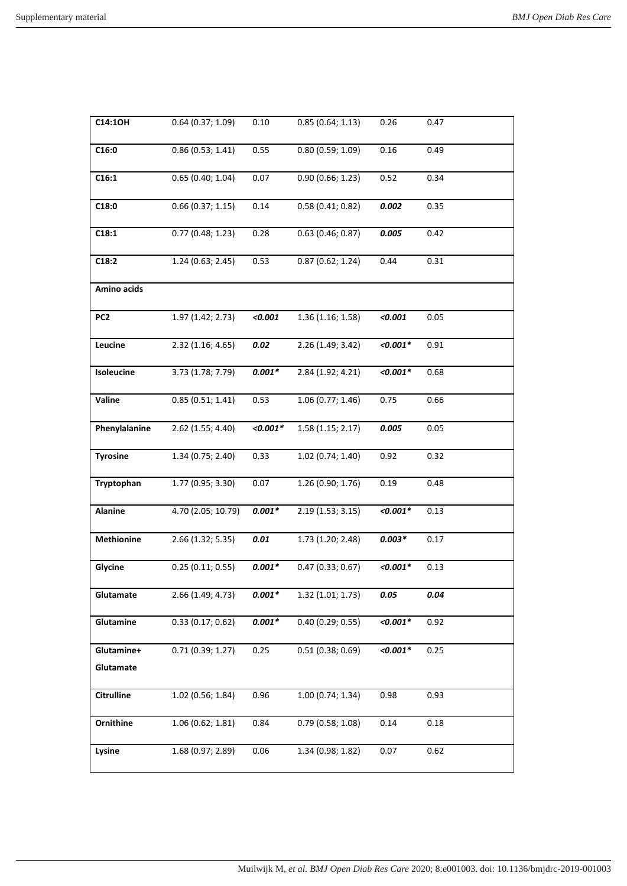| C14:10H           | $0.64$ (0.37; 1.09) | 0.10       | 0.85(0.64; 1.13)  | 0.26       | 0.47 |
|-------------------|---------------------|------------|-------------------|------------|------|
| C16:0             | 0.86(0.53; 1.41)    | 0.55       | 0.80(0.59; 1.09)  | 0.16       | 0.49 |
| C16:1             | 0.65(0.40; 1.04)    | 0.07       | 0.90(0.66; 1.23)  | 0.52       | 0.34 |
| C18:0             | 0.66(0.37; 1.15)    | 0.14       | 0.58(0.41; 0.82)  | 0.002      | 0.35 |
| C18:1             | 0.77(0.48; 1.23)    | 0.28       | 0.63(0.46; 0.87)  | 0.005      | 0.42 |
| C18:2             | 1.24 (0.63; 2.45)   | 0.53       | 0.87(0.62; 1.24)  | 0.44       | 0.31 |
| Amino acids       |                     |            |                   |            |      |
| PC <sub>2</sub>   | 1.97 (1.42; 2.73)   | < 0.001    | 1.36 (1.16; 1.58) | < 0.001    | 0.05 |
| Leucine           | 2.32 (1.16; 4.65)   | 0.02       | 2.26 (1.49; 3.42) | $<,0.001*$ | 0.91 |
| Isoleucine        | 3.73 (1.78; 7.79)   | $0.001*$   | 2.84 (1.92; 4.21) | $<,0.001*$ | 0.68 |
| Valine            | 0.85(0.51; 1.41)    | 0.53       | 1.06(0.77; 1.46)  | 0.75       | 0.66 |
| Phenylalanine     | 2.62 (1.55; 4.40)   | $<,0.001*$ | 1.58(1.15; 2.17)  | 0.005      | 0.05 |
| <b>Tyrosine</b>   | 1.34 (0.75; 2.40)   | 0.33       | 1.02 (0.74; 1.40) | 0.92       | 0.32 |
| Tryptophan        | 1.77 (0.95; 3.30)   | 0.07       | 1.26 (0.90; 1.76) | 0.19       | 0.48 |
| Alanine           | 4.70 (2.05; 10.79)  | $0.001*$   | 2.19(1.53; 3.15)  | $<,0.001*$ | 0.13 |
| <b>Methionine</b> | 2.66 (1.32; 5.35)   | 0.01       | 1.73 (1.20; 2.48) | $0.003*$   | 0.17 |
| Glycine           | 0.25(0.11; 0.55)    | $0.001*$   | 0.47(0.33; 0.67)  | $< 0.001*$ | 0.13 |
| Glutamate         | 2.66 (1.49; 4.73)   | $0.001*$   | 1.32 (1.01; 1.73) | 0.05       | 0.04 |
| Glutamine         | 0.33(0.17; 0.62)    | $0.001*$   | 0.40(0.29; 0.55)  | $<,0.001*$ | 0.92 |
| Glutamine+        | 0.71(0.39; 1.27)    | 0.25       | 0.51(0.38; 0.69)  | $<,0.001*$ | 0.25 |
| Glutamate         |                     |            |                   |            |      |
| <b>Citrulline</b> | 1.02 (0.56; 1.84)   | 0.96       | 1.00 (0.74; 1.34) | 0.98       | 0.93 |
| Ornithine         | 1.06 (0.62; 1.81)   | 0.84       | 0.79(0.58; 1.08)  | 0.14       | 0.18 |
| Lysine            | 1.68 (0.97; 2.89)   | 0.06       | 1.34 (0.98; 1.82) | 0.07       | 0.62 |
|                   |                     |            |                   |            |      |